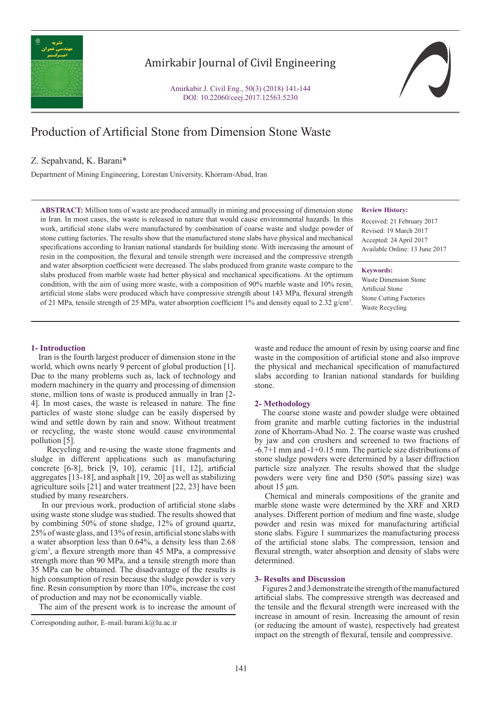

# Amirkabir Journal of Civil Engineering

Amirkabir J. Civil Eng., 50(3) (2018) 141-144 DOI: 10.22060/ceej.2017.12563.5230

# Production of Artificial Stone from Dimension Stone Waste

# Z. Sepahvand, K. Barani\*

Department of Mining Engineering, Lorestan University, Khorram-Abad, Iran

**ABSTRACT:** Million tons of waste are produced annually in mining and processing of dimension stone in Iran. In most cases, the waste is released in nature that would cause environmental hazards. In this work, artificial stone slabs were manufactured by combination of coarse waste and sludge powder of stone cutting factories. The results show that the manufactured stone slabs have physical and mechanical specifications according to Iranian national standards for building stone. With increasing the amount of resin in the composition, the flexural and tensile strength were increased and the compressive strength and water absorption coefficient were decreased. The slabs produced from granite waste compare to the slabs produced from marble waste had better physical and mechanical specifications. At the optimum condition, with the aim of using more waste, with a composition of 90% marble waste and 10% resin, artificial stone slabs were produced which have compressive strength about 143 MPa, flexural strength of 21 MPa, tensile strength of 25 MPa, water absorption coefficient 1% and density equal to 2.32  $g/cm<sup>3</sup>$ .

## **Review History:**

Received: 21 February 2017 Revised: 19 March 2017 Accepted: 24 April 2017 Available Online: 13 June 2017

**Keywords:**

Waste Dimension Stone Artificial Stone Stone Cutting Factories Waste Recycling

# **1- Introduction**

 Iran is the fourth largest producer of dimension stone in the world, which owns nearly 9 percent of global production [1]. Due to the many problems such as, lack of technology and modern machinery in the quarry and processing of dimension stone, million tons of waste is produced annually in Iran [2- 4]. In most cases, the waste is released in nature. The fine particles of waste stone sludge can be easily dispersed by wind and settle down by rain and snow. Without treatment or recycling, the waste stone would cause environmental pollution [5].

 Recycling and re-using the waste stone fragments and sludge in different applications such as manufacturing concrete [6-8], brick [9, 10], ceramic [11, 12], artificial aggregates [13-18], and asphalt [19, 20] as well as stabilizing agriculture soils [21] and water treatment [22, 23] have been studied by many researchers.

 In our previous work, production of artificial stone slabs using waste stone sludge was studied. The results showed that by combining 50% of stone sludge, 12% of ground quartz, 25% of waste glass, and 13% of resin, artificial stone slabs with a water absorption less than 0.64%, a density less than 2.68 g/cm3 , a flexure strength more than 45 MPa, a compressive strength more than 90 MPa, and a tensile strength more than 35 MPa can be obtained. The disadvantage of the results is high consumption of resin because the sludge powder is very fine. Resin consumption by more than 10%, increase the cost of production and may not be economically viable.

The aim of the present work is to increase the amount of

waste and reduce the amount of resin by using coarse and fine waste in the composition of artificial stone and also improve the physical and mechanical specification of manufactured slabs according to Iranian national standards for building stone.

## **2- Methodology**

 The coarse stone waste and powder sludge were obtained from granite and marble cutting factories in the industrial zone of Khorram-Abad No. 2. The coarse waste was crushed by jaw and con crushers and screened to two fractions of -6.7+1 mm and -1+0.15 mm. The particle size distributions of stone sludge powders were determined by a laser diffraction particle size analyzer. The results showed that the sludge powders were very fine and D50 (50% passing size) was about 15 μm.

 Chemical and minerals compositions of the granite and marble stone waste were determined by the XRF and XRD analyses. Different portion of medium and fine waste, sludge powder and resin was mixed for manufacturing artificial stone slabs. Figure 1 summarizes the manufacturing process of the artificial stone slabs. The compression, tension and flexural strength, water absorption and density of slabs were determined.

## **3- Results and Discussion**

 Figures 2 and 3 demonstrate the strength of the manufactured artificial slabs. The compressive strength was decreased and the tensile and the flexural strength were increased with the increase in amount of resin. Increasing the amount of resin (or reducing the amount of waste), respectively had greatest impact on the strength of flexural, tensile and compressive.

Corresponding author, E-mail: barani.k@lu.ac.ir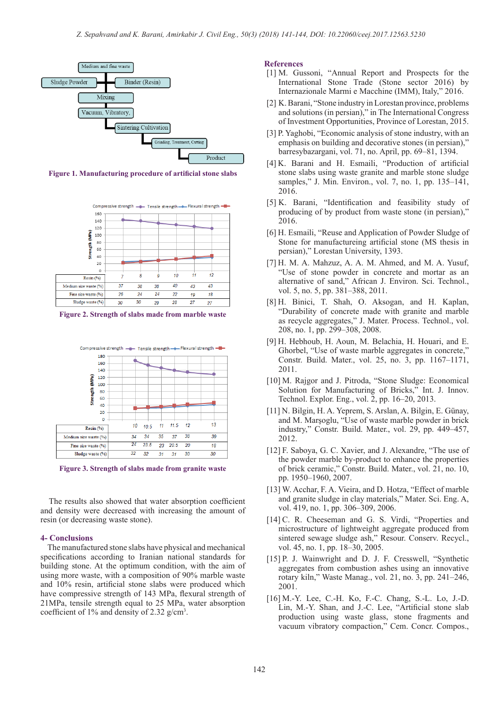

**Figure 1. Manufacturing procedure of artificial stone slabs**



**Figure 2. Strength of slabs made from marble waste**



**Figure 3. Strength of slabs made from granite waste**

 The results also showed that water absorption coefficient and density were decreased with increasing the amount of resin (or decreasing waste stone).

# **4- Conclusions**

 The manufactured stone slabs have physical and mechanical specifications according to Iranian national standards for building stone. At the optimum condition, with the aim of using more waste, with a composition of 90% marble waste and 10% resin, artificial stone slabs were produced which have compressive strength of 143 MPa, flexural strength of 21MPa, tensile strength equal to 25 MPa, water absorption coefficient of 1% and density of 2.32 g/cm<sup>3</sup> .

# **References**

- [1] M. Gussoni, "Annual Report and Prospects for the International Stone Trade (Stone sector 2016) by Internazionale Marmi e Macchine (IMM), Italy," 2016.
- [2] K. Barani, "Stone industry in Lorestan province, problems and solutions (in persian)," in The International Congress of Investment Opportunities, Province of Lorestan, 2015.
- [3] P. Yaghobi, "Economic analysis of stone industry, with an emphasis on building and decorative stones (in persian)," barresybazargani, vol. 71, no. April, pp. 69–81, 1394.
- [4] K. Barani and H. Esmaili, "Production of artificial stone slabs using waste granite and marble stone sludge samples," J. Min. Environ., vol. 7, no. 1, pp. 135–141, 2016.
- [5] K. Barani, "Identification and feasibility study of producing of by product from waste stone (in persian)," 2016.
- [6] H. Esmaili, "Reuse and Application of Powder Sludge of Stone for manufactureing artificial stone (MS thesis in persian)," Lorestan University, 1393.
- [7] H. M. A. Mahzuz, A. A. M. Ahmed, and M. A. Yusuf, "Use of stone powder in concrete and mortar as an alternative of sand," African J. Environ. Sci. Technol., vol. 5, no. 5, pp. 381–388, 2011.
- [8] H. Binici, T. Shah, O. Aksogan, and H. Kaplan, "Durability of concrete made with granite and marble as recycle aggregates," J. Mater. Process. Technol., vol. 208, no. 1, pp. 299–308, 2008.
- [9] H. Hebhoub, H. Aoun, M. Belachia, H. Houari, and E. Ghorbel, "Use of waste marble aggregates in concrete," Constr. Build. Mater., vol. 25, no. 3, pp. 1167–1171, 2011.
- [10] M. Rajgor and J. Pitroda, "Stone Sludge: Economical Solution for Manufacturing of Bricks," Int. J. Innov. Technol. Explor. Eng., vol. 2, pp. 16–20, 2013.
- [11] N. Bilgin, H. A. Yeprem, S. Arslan, A. Bilgin, E. Günay, and M. Marşoglu, "Use of waste marble powder in brick industry," Constr. Build. Mater., vol. 29, pp. 449–457, 2012.
- [12] F. Saboya, G. C. Xavier, and J. Alexandre, "The use of the powder marble by-product to enhance the properties of brick ceramic," Constr. Build. Mater., vol. 21, no. 10, pp. 1950–1960, 2007.
- [13] W. Acchar, F. A. Vieira, and D. Hotza, "Effect of marble and granite sludge in clay materials," Mater. Sci. Eng. A, vol. 419, no. 1, pp. 306–309, 2006.
- [14] C. R. Cheeseman and G. S. Virdi, "Properties and microstructure of lightweight aggregate produced from sintered sewage sludge ash," Resour. Conserv. Recycl., vol. 45, no. 1, pp. 18–30, 2005.
- [15] P. J. Wainwright and D. J. F. Cresswell, "Synthetic aggregates from combustion ashes using an innovative rotary kiln," Waste Manag., vol. 21, no. 3, pp. 241–246, 2001.
- [16] M.-Y. Lee, C.-H. Ko, F.-C. Chang, S.-L. Lo, J.-D. Lin, M.-Y. Shan, and J.-C. Lee, "Artificial stone slab production using waste glass, stone fragments and vacuum vibratory compaction," Cem. Concr. Compos.,